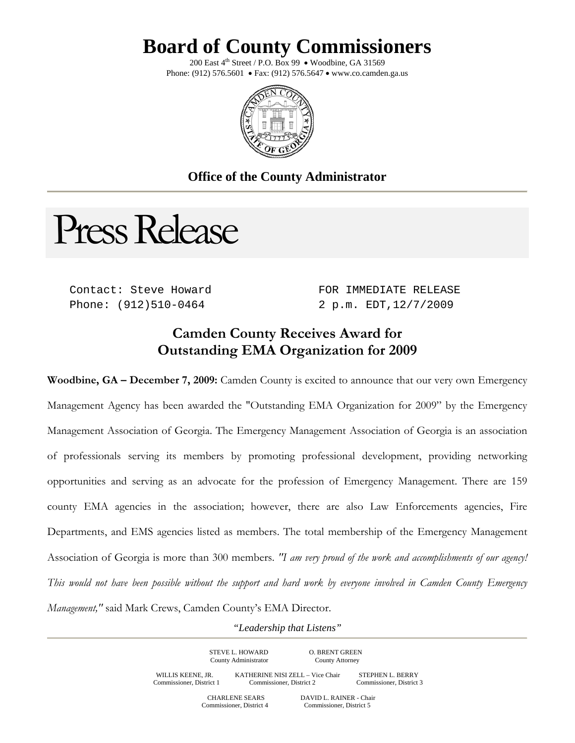## **Board of County Commissioners**

200 East  $4^{th}$  Street / P.O. Box 99 • Woodbine, GA 31569 Phone: (912) 576.5601 • Fax: (912) 576.5647 • www.co.camden.ga.us



## **Office of the County Administrator**

Press Release

Contact: Steve Howard Phone: (912)510-0464

FOR IMMEDIATE RELEASE 2 p.m. EDT,12/7/2009

## **Camden County Receives Award for Outstanding EMA Organization for 2009**

**Woodbine, GA – December 7, 2009:** Camden County is excited to announce that our very own Emergency Management Agency has been awarded the "Outstanding EMA Organization for 2009" by the Emergency Management Association of Georgia. The Emergency Management Association of Georgia is an association of professionals serving its members by promoting professional development, providing networking opportunities and serving as an advocate for the profession of Emergency Management. There are 159 county EMA agencies in the association; however, there are also Law Enforcements agencies, Fire Departments, and EMS agencies listed as members. The total membership of the Emergency Management Association of Georgia is more than 300 members. *"I am very proud of the work and accomplishments of our agency! This would not have been possible without the support and hard work by everyone involved in Camden County Emergency Management,"* said Mark Crews, Camden County's EMA Director.

*"Leadership that Listens"* 

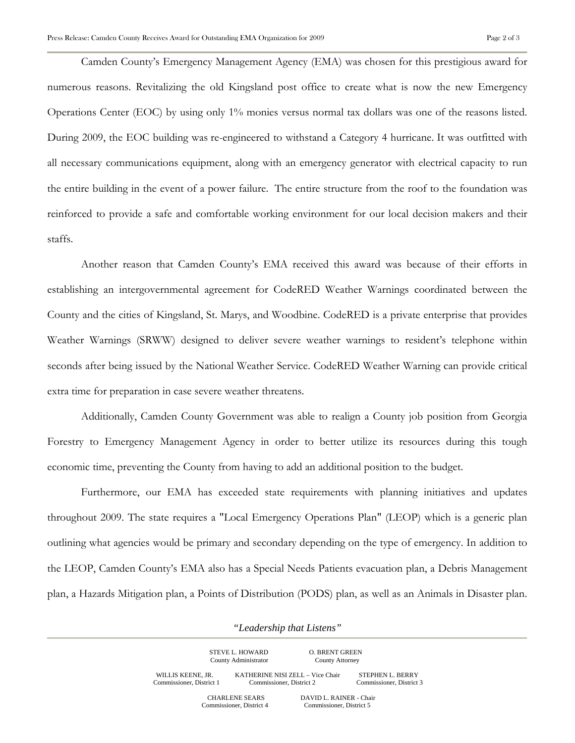Camden County's Emergency Management Agency (EMA) was chosen for this prestigious award for numerous reasons. Revitalizing the old Kingsland post office to create what is now the new Emergency Operations Center (EOC) by using only 1% monies versus normal tax dollars was one of the reasons listed. During 2009, the EOC building was re-engineered to withstand a Category 4 hurricane. It was outfitted with all necessary communications equipment, along with an emergency generator with electrical capacity to run the entire building in the event of a power failure. The entire structure from the roof to the foundation was reinforced to provide a safe and comfortable working environment for our local decision makers and their staffs.

Another reason that Camden County's EMA received this award was because of their efforts in establishing an intergovernmental agreement for CodeRED Weather Warnings coordinated between the County and the cities of Kingsland, St. Marys, and Woodbine. CodeRED is a private enterprise that provides Weather Warnings (SRWW) designed to deliver severe weather warnings to resident's telephone within seconds after being issued by the National Weather Service. CodeRED Weather Warning can provide critical extra time for preparation in case severe weather threatens.

 Additionally, Camden County Government was able to realign a County job position from Georgia Forestry to Emergency Management Agency in order to better utilize its resources during this tough economic time, preventing the County from having to add an additional position to the budget.

Furthermore, our EMA has exceeded state requirements with planning initiatives and updates throughout 2009. The state requires a "Local Emergency Operations Plan" (LEOP) which is a generic plan outlining what agencies would be primary and secondary depending on the type of emergency. In addition to the LEOP, Camden County's EMA also has a Special Needs Patients evacuation plan, a Debris Management plan, a Hazards Mitigation plan, a Points of Distribution (PODS) plan, as well as an Animals in Disaster plan.

*"Leadership that Listens"* 

|                                               | STEVE L. HOWARD<br>County Administrator           | <b>O. BRENT GREEN</b><br>County Attorney            |                                                     |
|-----------------------------------------------|---------------------------------------------------|-----------------------------------------------------|-----------------------------------------------------|
| WILLIS KEENE, JR.<br>Commissioner, District 1 | Commissioner, District 2                          | KATHERINE NISI ZELL - Vice Chair                    | <b>STEPHEN L. BERRY</b><br>Commissioner, District 3 |
|                                               | <b>CHARLENE SEARS</b><br>Commissioner, District 4 | DAVID L. RAINER - Chair<br>Commissioner, District 5 |                                                     |